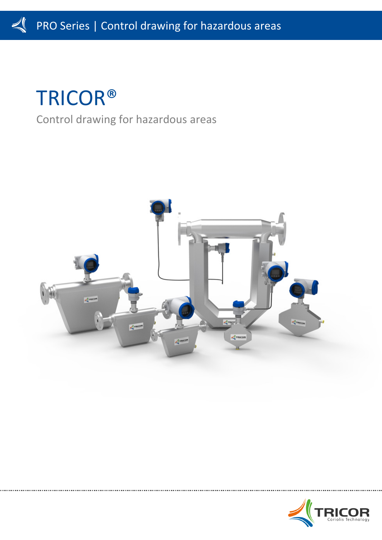# TRICOR®

# Control drawing for hazardous areas



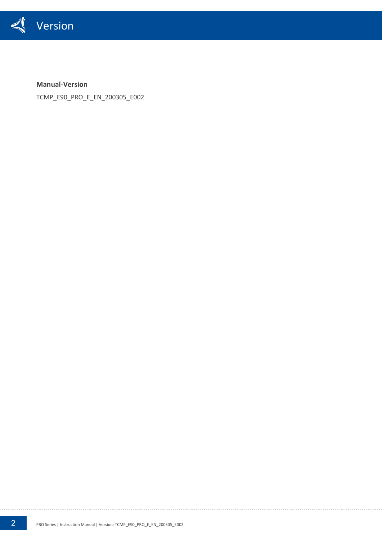

**Manual-Version**

TCMP\_E90\_PRO\_E\_EN\_200305\_E002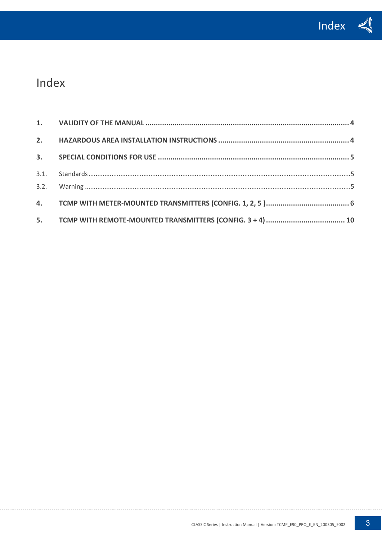

## Index

. . . . . . . . . . . . . .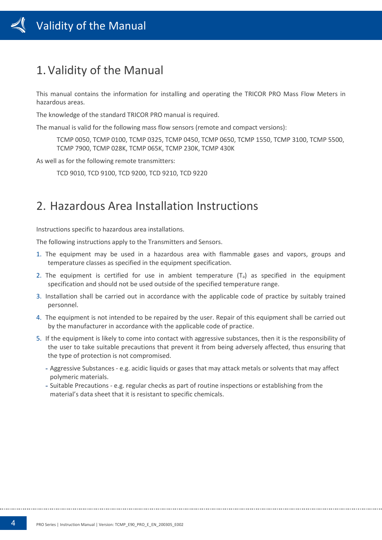### <span id="page-3-0"></span>1.Validity of the Manual

This manual contains the information for installing and operating the TRICOR PRO Mass Flow Meters in hazardous areas.

The knowledge of the standard TRICOR PRO manual is required.

The manual is valid for the following mass flow sensors (remote and compact versions):

TCMP 0050, TCMP 0100, TCMP 0325, TCMP 0450, TCMP 0650, TCMP 1550, TCMP 3100, TCMP 5500, TCMP 7900, TCMP 028K, TCMP 065K, TCMP 230K, TCMP 430K

As well as for the following remote transmitters:

TCD 9010, TCD 9100, TCD 9200, TCD 9210, TCD 9220

### <span id="page-3-1"></span>2. Hazardous Area Installation Instructions

Instructions specific to hazardous area installations.

The following instructions apply to the Transmitters and Sensors.

- 1. The equipment may be used in a hazardous area with flammable gases and vapors, groups and temperature classes as specified in the equipment specification.
- 2. The equipment is certified for use in ambient temperature  $(T_a)$  as specified in the equipment specification and should not be used outside of the specified temperature range.
- 3. Installation shall be carried out in accordance with the applicable code of practice by suitably trained personnel.
- 4. The equipment is not intended to be repaired by the user. Repair of this equipment shall be carried out by the manufacturer in accordance with the applicable code of practice.
- 5. If the equipment is likely to come into contact with aggressive substances, then it is the responsibility of the user to take suitable precautions that prevent it from being adversely affected, thus ensuring that the type of protection is not compromised.
	- Aggressive Substances e.g. acidic liquids or gases that may attack metals or solvents that may affect polymeric materials.
	- Suitable Precautions e.g. regular checks as part of routine inspections or establishing from the material's data sheet that it is resistant to specific chemicals.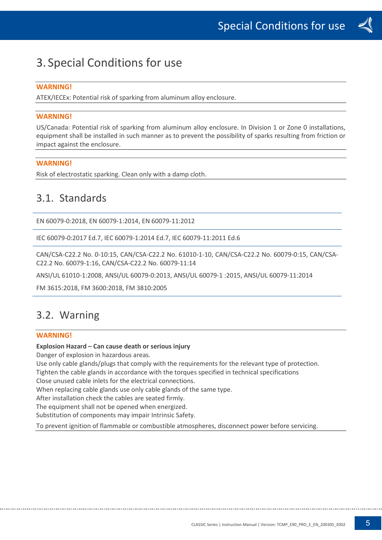### <span id="page-4-0"></span>3. Special Conditions for use

#### **WARNING!**

ATEX/IECEx: Potential risk of sparking from aluminum alloy enclosure.

#### **WARNING!**

US/Canada: Potential risk of sparking from aluminum alloy enclosure. In Division 1 or Zone 0 installations, equipment shall be installed in such manner as to prevent the possibility of sparks resulting from friction or impact against the enclosure.

#### **WARNING!**

Risk of electrostatic sparking. Clean only with a damp cloth.

### <span id="page-4-1"></span>3.1. Standards

EN 60079-0:2018, EN 60079-1:2014, EN 60079-11:2012

IEC 60079-0:2017 Ed.7, IEC 60079-1:2014 Ed.7, IEC 60079-11:2011 Ed.6

CAN/CSA-C22.2 No. 0-10:15, CAN/CSA-C22.2 No. 61010-1-10, CAN/CSA-C22.2 No. 60079-0:15, CAN/CSA-C22.2 No. 60079-1:16, CAN/CSA-C22.2 No. 60079-11:14

ANSI/UL 61010-1:2008, ANSI/UL 60079-0:2013, ANSI/UL 60079-1 :2015, ANSI/UL 60079-11:2014

<span id="page-4-2"></span>FM 3615:2018, FM 3600:2018, FM 3810:2005

### 3.2. Warning

#### **WARNING!**

#### **Explosion Hazard – Can cause death or serious injury**

Danger of explosion in hazardous areas.

Use only cable glands/plugs that comply with the requirements for the relevant type of protection.

Tighten the cable glands in accordance with the torques specified in technical specifications

Close unused cable inlets for the electrical connections.

When replacing cable glands use only cable glands of the same type.

After installation check the cables are seated firmly.

The equipment shall not be opened when energized.

Substitution of components may impair Intrinsic Safety.

To prevent ignition of flammable or combustible atmospheres, disconnect power before servicing.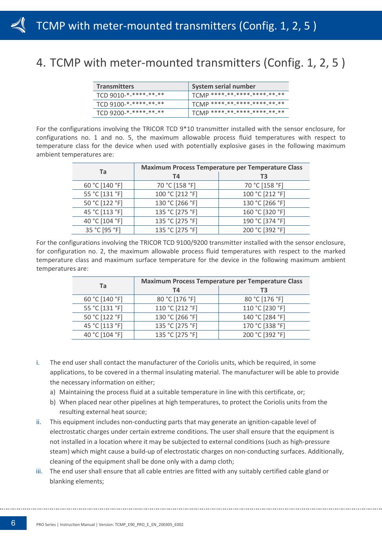### <span id="page-5-0"></span>4. TCMP with meter-mounted transmitters (Config. 1, 2, 5 )

| <b>Transmitters</b>   | System serial number                          |
|-----------------------|-----------------------------------------------|
| TCD 9010-*-****-**-** | ' TCMP ****-**-****-*****-**-**               |
| TCD 9100-*-****-**-** | $'$ TCMP ****-**-****-*****-**- <del>**</del> |
| TCD 9200-*-****-**-** | TCMP ****-**-****-****-**-**-                 |

For the configurations involving the TRICOR TCD 9\*10 transmitter installed with the sensor enclosure, for configurations no. 1 and no. 5, the maximum allowable process fluid temperatures with respect to temperature class for the device when used with potentially explosive gases in the following maximum ambient temperatures are:

| Ta             | <b>Maximum Process Temperature per Temperature Class</b> |                 |  |  |  |  |  |  |
|----------------|----------------------------------------------------------|-----------------|--|--|--|--|--|--|
|                | T4                                                       | T3              |  |  |  |  |  |  |
| 60 °C [140 °F] | 70 °C [158 °F]                                           | 70 °C [158 °F]  |  |  |  |  |  |  |
| 55 °C [131 °F] | 100 °C [212 °F]                                          | 100 °C [212 °F] |  |  |  |  |  |  |
| 50 °C [122 °F] | 130 °C [266 °F]                                          | 130 °C [266 °F] |  |  |  |  |  |  |
| 45 °C [113 °F] | 135 °C [275 °F]                                          | 160 °C [320 °F] |  |  |  |  |  |  |
| 40 °C [104 °F] | 135 °C [275 °F]                                          | 190 °C [374 °F] |  |  |  |  |  |  |
| 35 °C [95 °F]  | 135 °C [275 °F]                                          | 200 °C [392 °F] |  |  |  |  |  |  |

For the configurations involving the TRICOR TCD 9100/9200 transmitter installed with the sensor enclosure, for configuration no. 2, the maximum allowable process fluid temperatures with respect to the marked temperature class and maximum surface temperature for the device in the following maximum ambient temperatures are:

| Ta             | <b>Maximum Process Temperature per Temperature Class</b> |                 |  |  |  |  |  |
|----------------|----------------------------------------------------------|-----------------|--|--|--|--|--|
|                | T4                                                       | T <sub>3</sub>  |  |  |  |  |  |
| 60 °C [140 °F] | 80 °C [176 °F]                                           | 80 °C [176 °F]  |  |  |  |  |  |
| 55 °C [131 °F] | 110 °C [212 °F]                                          | 110 °C [230 °F] |  |  |  |  |  |
| 50 °C [122 °F] | 130 °C [266 °F]                                          | 140 °C [284 °F] |  |  |  |  |  |
| 45 °C [113 °F] | 135 °C [275 °F]                                          | 170 °C [338 °F] |  |  |  |  |  |
| 40 °C [104 °F] | 135 °C [275 °F]                                          | 200 °C [392 °F] |  |  |  |  |  |

- i. The end user shall contact the manufacturer of the Coriolis units, which be required, in some applications, to be covered in a thermal insulating material. The manufacturer will be able to provide the necessary information on either;
	- a) Maintaining the process fluid at a suitable temperature in line with this certificate, or;
	- b) When placed near other pipelines at high temperatures, to protect the Coriolis units from the resulting external heat source;
- ii. This equipment includes non-conducting parts that may generate an ignition-capable level of electrostatic charges under certain extreme conditions. The user shall ensure that the equipment is not installed in a location where it may be subjected to external conditions (such as high-pressure steam) which might cause a build-up of electrostatic charges on non-conducting surfaces. Additionally, cleaning of the equipment shall be done only with a damp cloth;
- iii. The end user shall ensure that all cable entries are fitted with any suitably certified cable gland or blanking elements;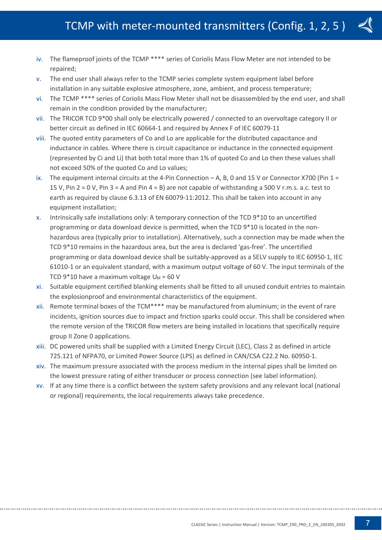

- iv. The flameproof joints of the TCMP \*\*\*\* series of Coriolis Mass Flow Meter are not intended to be repaired;
- v. The end user shall always refer to the TCMP series complete system equipment label before installation in any suitable explosive atmosphere, zone, ambient, and process temperature;
- vi. The TCMP \*\*\*\* series of Coriolis Mass Flow Meter shall not be disassembled by the end user, and shall remain in the condition provided by the manufacturer;
- vii. The TRICOR TCD 9\*00 shall only be electrically powered / connected to an overvoltage category II or better circuit as defined in IEC 60664-1 and required by Annex F of IEC 60079-11
- viii. The quoted entity parameters of Co and Lo are applicable for the distributed capacitance and inductance in cables. Where there is circuit capacitance or inductance in the connected equipment (represented by Ci and Li) that both total more than 1% of quoted Co and Lo then these values shall not exceed 50% of the quoted Co and Lo values;
- ix. The equipment internal circuits at the 4-Pin Connection  $-A$ , B, 0 and 15 V or Connector X700 (Pin 1 = 15 V, Pin 2 = 0 V, Pin 3 = A and Pin 4 = B) are not capable of withstanding a 500 V r.m.s. a.c. test to earth as required by clause 6.3.13 of EN 60079-11:2012. This shall be taken into account in any equipment installation;
- x. Intrinsically safe installations only: A temporary connection of the TCD 9\*10 to an uncertified programming or data download device is permitted, when the TCD 9\*10 is located in the nonhazardous area (typically prior to installation). Alternatively, such a connection may be made when the TCD 9\*10 remains in the hazardous area, but the area is declared 'gas-free'. The uncertified programming or data download device shall be suitably-approved as a SELV supply to IEC 60950-1, IEC 61010-1 or an equivalent standard, with a maximum output voltage of 60 V. The input terminals of the TCD  $9*10$  have a maximum voltage  $U_M = 60$  V
- xi. Suitable equipment certified blanking elements shall be fitted to all unused conduit entries to maintain the explosionproof and environmental characteristics of the equipment.
- xii. Remote terminal boxes of the TCM\*\*\*\* may be manufactured from aluminium; in the event of rare incidents, ignition sources due to impact and friction sparks could occur. This shall be considered when the remote version of the TRICOR flow meters are being installed in locations that specifically require group II Zone 0 applications.
- xiii. DC powered units shall be supplied with a Limited Energy Circuit (LEC), Class 2 as defined in article 725.121 of NFPA70, or Limited Power Source (LPS) as defined in CAN/CSA C22.2 No. 60950-1.
- xiv. The maximum pressure associated with the process medium in the internal pipes shall be limited on the lowest pressure rating of either transducer or process connection (see label information).
- xv. If at any time there is a conflict between the system safety provisions and any relevant local (national or regional) requirements, the local requirements always take precedence.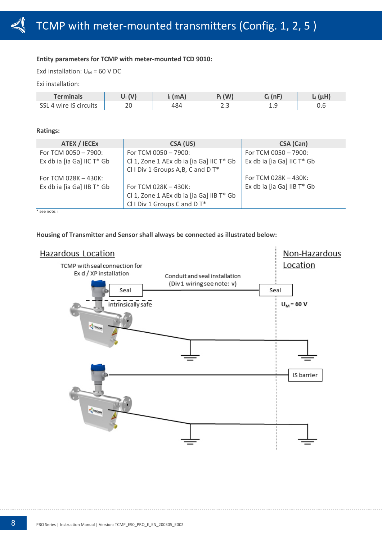#### **Entity parameters for TCMP with meter-mounted TCD 9010:**

Exd installation:  $U_M = 60$  V DC

Exi installation:

| Terminals                         | $\mathbf{A}$   | (mA) | (W)<br>ш.  | (nF)    |     |
|-----------------------------------|----------------|------|------------|---------|-----|
| <b>CCI</b><br>IS circuits<br>wire | $\Omega$<br>ZU | 484  | -<br>ر . ب | <b></b> | v.v |

#### **Ratings:**

| <b>ATEX / IECEX</b>        | CSA (US)                                 | CSA (Can)                  |
|----------------------------|------------------------------------------|----------------------------|
| For TCM 0050 - 7900:       | For TCM 0050 - 7900:                     | For TCM 0050 - 7900:       |
| Ex db ia [ia Ga] IIC T* Gb | Cl 1, Zone 1 AEx db ia [ia Ga] IIC T* Gb | Ex db ia [ia Ga] IIC T* Gb |
|                            | CII Div 1 Groups A, B, C and D T*        |                            |
| For TCM 028K $-$ 430K:     |                                          | For TCM 028K - 430K:       |
| Ex db ia [ia Ga] IIB T* Gb | For TCM 028K - 430K:                     | Ex db ia [ia Ga] IIB T* Gb |
|                            | Cl 1, Zone 1 AEx db ia [ia Ga] IIB T* Gb |                            |
|                            | CII Div 1 Groups C and D T*              |                            |
| * see note: i              |                                          |                            |

#### **Housing of Transmitter and Sensor shall always be connected as illustrated below:**

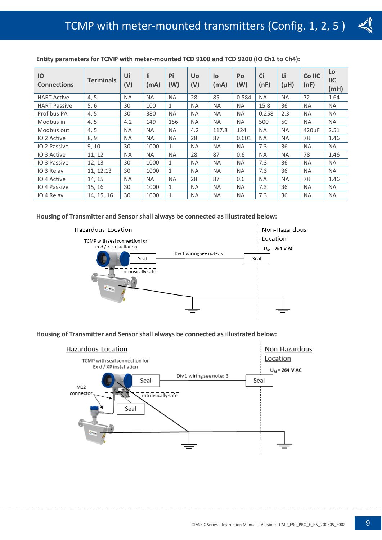

| IO<br><b>Connections</b> | <b>Terminals</b> | Ui<br>(V) | li.<br>(mA) | Pi<br>(W)    | <b>Uo</b><br>(V) | lo<br>(mA) | Po<br>(W) | Ci<br>(nF) | Li<br>$(\mu H)$ | Co IIC<br>(nF)     | Lo<br>$II$<br>(mH) |
|--------------------------|------------------|-----------|-------------|--------------|------------------|------------|-----------|------------|-----------------|--------------------|--------------------|
| <b>HART Active</b>       | 4, 5             | <b>NA</b> | <b>NA</b>   | <b>NA</b>    | 28               | 85         | 0.584     | <b>NA</b>  | <b>NA</b>       | 72                 | 1.64               |
| <b>HART Passive</b>      | 5, 6             | 30        | 100         | $\mathbf{1}$ | <b>NA</b>        | <b>NA</b>  | <b>NA</b> | 15.8       | 36              | <b>NA</b>          | <b>NA</b>          |
| Profibus PA              | 4, 5             | 30        | 380         | <b>NA</b>    | <b>NA</b>        | <b>NA</b>  | <b>NA</b> | 0.258      | 2.3             | <b>NA</b>          | <b>NA</b>          |
| Modbus in                | 4, 5             | 4.2       | 149         | 156          | <b>NA</b>        | <b>NA</b>  | <b>NA</b> | 500        | 50              | <b>NA</b>          | <b>NA</b>          |
| Modbus out               | 4, 5             | <b>NA</b> | <b>NA</b>   | <b>NA</b>    | 4.2              | 117.8      | 124       | <b>NA</b>  | <b>NA</b>       | 420 <sub>u</sub> F | 2.51               |
| IO 2 Active              | 8, 9             | <b>NA</b> | <b>NA</b>   | <b>NA</b>    | 28               | 87         | 0.601     | <b>NA</b>  | <b>NA</b>       | 78                 | 1.46               |
| <b>IO 2 Passive</b>      | 9, 10            | 30        | 1000        | $\mathbf{1}$ | <b>NA</b>        | <b>NA</b>  | <b>NA</b> | 7.3        | 36              | <b>NA</b>          | <b>NA</b>          |
| IO 3 Active              | 11, 12           | <b>NA</b> | <b>NA</b>   | <b>NA</b>    | 28               | 87         | 0.6       | <b>NA</b>  | <b>NA</b>       | 78                 | 1.46               |
| IO 3 Passive             | 12, 13           | 30        | 1000        | 1            | <b>NA</b>        | <b>NA</b>  | <b>NA</b> | 7.3        | 36              | <b>NA</b>          | <b>NA</b>          |
| IO 3 Relay               | 11, 12, 13       | 30        | 1000        | 1            | <b>NA</b>        | <b>NA</b>  | <b>NA</b> | 7.3        | 36              | <b>NA</b>          | <b>NA</b>          |
| IO 4 Active              | 14, 15           | <b>NA</b> | <b>NA</b>   | <b>NA</b>    | 28               | 87         | 0.6       | <b>NA</b>  | <b>NA</b>       | 78                 | 1.46               |
| IO 4 Passive             | 15, 16           | 30        | 1000        | $\mathbf{1}$ | <b>NA</b>        | <b>NA</b>  | <b>NA</b> | 7.3        | 36              | <b>NA</b>          | <b>NA</b>          |
| IO 4 Relay               | 14, 15, 16       | 30        | 1000        | 1            | <b>NA</b>        | <b>NA</b>  | <b>NA</b> | 7.3        | 36              | <b>NA</b>          | <b>NA</b>          |

**Entity parameters for TCMP with meter-mounted TCD 9100 and TCD 9200 (IO Ch1 to Ch4):**

#### **Housing of Transmitter and Sensor shall always be connected as illustrated below:**



#### **Housing of Transmitter and Sensor shall always be connected as illustrated below:**

<span id="page-8-0"></span>![](_page_8_Figure_7.jpeg)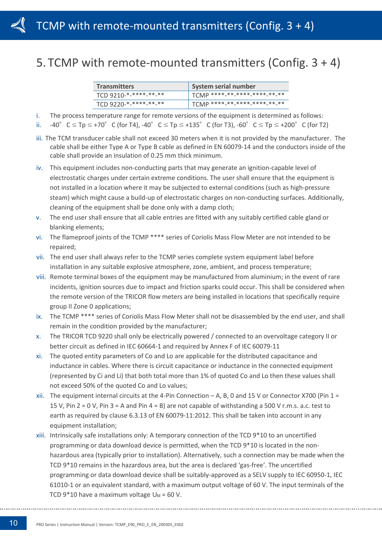### 5. TCMP with remote-mounted transmitters (Config. 3 + 4)

| <b>Transmitters</b>   | System serial number                          |
|-----------------------|-----------------------------------------------|
| TCD 9210-*-****-**-** | <sup>1</sup> TCMP ****-**-****-*****-**-**    |
| TCD 9220-*-****-**-** | $T$ TCMP ****-**-****-*****-**- <del>**</del> |

i. The process temperature range for remote versions of the equipment is determined as follows:

ii.  $-40^\circ$  C  $\leq$  Tp  $\leq$  +70° C (for T4),  $-40^\circ$  C  $\leq$  Tp  $\leq$  +135° C (for T3),  $-60^\circ$  C  $\leq$  Tp  $\leq$  +200° C (for T2)

- iii. The TCM transducer cable shall not exceed 30 meters when it is not provided by the manufacturer. The cable shall be either Type A or Type B cable as defined in EN 60079-14 and the conductors inside of the cable shall provide an insulation of 0.25 mm thick minimum.
- iv. This equipment includes non-conducting parts that may generate an ignition-capable level of electrostatic charges under certain extreme conditions. The user shall ensure that the equipment is not installed in a location where it may be subjected to external conditions (such as high-pressure steam) which might cause a build-up of electrostatic charges on non-conducting surfaces. Additionally, cleaning of the equipment shall be done only with a damp cloth;
- v. The end user shall ensure that all cable entries are fitted with any suitably certified cable gland or blanking elements;
- vi. The flameproof joints of the TCMP \*\*\*\* series of Coriolis Mass Flow Meter are not intended to be repaired;
- vii. The end user shall always refer to the TCMP series complete system equipment label before installation in any suitable explosive atmosphere, zone, ambient, and process temperature;
- viii. Remote terminal boxes of the equipment may be manufactured from aluminium; in the event of rare incidents, ignition sources due to impact and friction sparks could occur. This shall be considered when the remote version of the TRICOR flow meters are being installed in locations that specifically require group II Zone 0 applications;
- ix. The TCMP \*\*\*\* series of Coriolis Mass Flow Meter shall not be disassembled by the end user, and shall remain in the condition provided by the manufacturer;
- x. The TRICOR TCD 9220 shall only be electrically powered / connected to an overvoltage category II or better circuit as defined in IEC 60664-1 and required by Annex F of IEC 60079-11
- xi. The quoted entity parameters of Co and Lo are applicable for the distributed capacitance and inductance in cables. Where there is circuit capacitance or inductance in the connected equipment (represented by Ci and Li) that both total more than 1% of quoted Co and Lo then these values shall not exceed 50% of the quoted Co and Lo values;
- xii. The equipment internal circuits at the 4-Pin Connection A, B, 0 and 15 V or Connector X700 (Pin 1 = 15 V, Pin 2 = 0 V, Pin 3 = A and Pin 4 = B) are not capable of withstanding a 500 V r.m.s. a.c. test to earth as required by clause 6.3.13 of EN 60079-11:2012. This shall be taken into account in any equipment installation;
- xiii. Intrinsically safe installations only: A temporary connection of the TCD 9\*10 to an uncertified programming or data download device is permitted, when the TCD 9\*10 is located in the nonhazardous area (typically prior to installation). Alternatively, such a connection may be made when the TCD 9\*10 remains in the hazardous area, but the area is declared 'gas-free'. The uncertified programming or data download device shall be suitably-approved as a SELV supply to IEC 60950-1, IEC 61010-1 or an equivalent standard, with a maximum output voltage of 60 V. The input terminals of the TCD  $9*10$  have a maximum voltage  $U_M = 60$  V.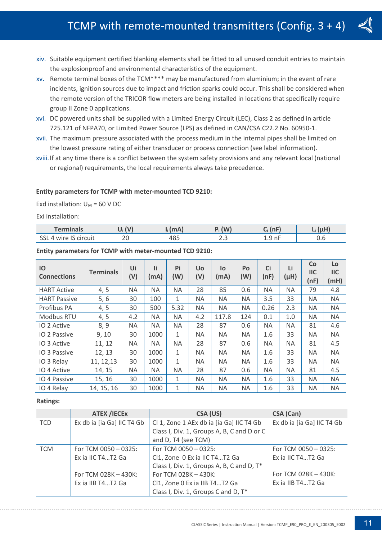- xiv. Suitable equipment certified blanking elements shall be fitted to all unused conduit entries to maintain the explosionproof and environmental characteristics of the equipment.
- xv. Remote terminal boxes of the TCM\*\*\*\* may be manufactured from aluminium; in the event of rare incidents, ignition sources due to impact and friction sparks could occur. This shall be considered when the remote version of the TRICOR flow meters are being installed in locations that specifically require group II Zone 0 applications.
- xvi. DC powered units shall be supplied with a Limited Energy Circuit (LEC), Class 2 as defined in article 725.121 of NFPA70, or Limited Power Source (LPS) as defined in CAN/CSA C22.2 No. 60950-1.
- xvii. The maximum pressure associated with the process medium in the internal pipes shall be limited on the lowest pressure rating of either transducer or process connection (see label information).
- xviii.If at any time there is a conflict between the system safety provisions and any relevant local (national or regional) requirements, the local requirements always take precedence.

#### **Entity parameters for TCMP with meter-mounted TCD 9210:**

Exd installation:  $U_M$  = 60 V DC

Exi installation:

| <b>Terminals</b>                                                           | $\mathbf{A}$ | (mA)                  | (W)   | ln E<br>⌒ | and a little |
|----------------------------------------------------------------------------|--------------|-----------------------|-------|-----------|--------------|
| $\sim$<br>$\sim$<br>$\ddot{\phantom{a}}$<br>wire IS circuit<br><b>J</b> OL | ∠∪           | $A$ O $\Gamma$<br>40⇒ | ر . ب | $1.9$ nF  | v.v          |

#### **Entity parameters for TCMP with meter-mounted TCD 9210:**

| IO<br><b>Connections</b> | <b>Terminals</b> | Ui<br>(V) | Πi<br>(mA) | Pi<br>(W)    | <b>Uo</b><br>(V) | lo<br>(mA) | Po<br>(W) | Ci<br>(nF) | Li<br>$(\mu H)$ | Co<br>$\mathsf{IIC}$<br>(nF) | Lo<br>$II$<br>(mH) |
|--------------------------|------------------|-----------|------------|--------------|------------------|------------|-----------|------------|-----------------|------------------------------|--------------------|
| <b>HART Active</b>       | 4, 5             | ΝA        | <b>NA</b>  | <b>NA</b>    | 28               | 85         | 0.6       | <b>NA</b>  | <b>NA</b>       | 79                           | 4.8                |
| <b>HART Passive</b>      | 5, 6             | 30        | 100        | $\mathbf{1}$ | ΝA               | <b>NA</b>  | <b>NA</b> | 3.5        | 33              | <b>NA</b>                    | <b>NA</b>          |
| Profibus PA              | 4, 5             | 30        | 500        | 5.32         | <b>NA</b>        | <b>NA</b>  | <b>NA</b> | 0.26       | 2.3             | <b>NA</b>                    | <b>NA</b>          |
| Modbus RTU               | 4, 5             | 4.2       | <b>NA</b>  | NA.          | 4.2              | 117.8      | 124       | 0.1        | 1.0             | <b>NA</b>                    | <b>NA</b>          |
| <b>IO 2 Active</b>       | 8,9              | ΝA        | <b>NA</b>  | <b>NA</b>    | 28               | 87         | 0.6       | <b>NA</b>  | <b>NA</b>       | 81                           | 4.6                |
| IO 2 Passive             | 9, 10            | 30        | 1000       | $\mathbf{1}$ | NA.              | <b>NA</b>  | <b>NA</b> | 1.6        | 33              | <b>NA</b>                    | <b>NA</b>          |
| IO 3 Active              | 11, 12           | ΝA        | <b>NA</b>  | <b>NA</b>    | 28               | 87         | 0.6       | <b>NA</b>  | <b>NA</b>       | 81                           | 4.5                |
| <b>IO 3 Passive</b>      | 12, 13           | 30        | 1000       | $\mathbf{1}$ | NA.              | <b>NA</b>  | <b>NA</b> | 1.6        | 33              | <b>NA</b>                    | <b>NA</b>          |
| IO 3 Relay               | 11, 12, 13       | 30        | 1000       | $\mathbf{1}$ | NA.              | <b>NA</b>  | <b>NA</b> | 1.6        | 33              | <b>NA</b>                    | <b>NA</b>          |
| IO 4 Active              | 14, 15           | ΝA        | <b>NA</b>  | <b>NA</b>    | 28               | 87         | 0.6       | <b>NA</b>  | <b>NA</b>       | 81                           | 4.5                |
| IO 4 Passive             | 15, 16           | 30        | 1000       | $\mathbf{1}$ | NA.              | <b>NA</b>  | <b>NA</b> | 1.6        | 33              | <b>NA</b>                    | <b>NA</b>          |
| IO 4 Relay               | 14, 15, 16       | 30        | 1000       | 1            | ΝA               | <b>NA</b>  | <b>NA</b> | 1.6        | 33              | <b>NA</b>                    | <b>NA</b>          |

#### **Ratings:**

|            | <b>ATEX /IECEX</b>         | CSA (US)                                   | CSA (Can)                  |
|------------|----------------------------|--------------------------------------------|----------------------------|
| <b>TCD</b> | Ex db ia [ia Ga] IIC T4 Gb | Cl 1, Zone 1 AEx db ia [ia Ga] IIC T4 Gb   | Ex db ia [ia Ga] IIC T4 Gb |
|            |                            | Class I, Div. 1, Groups A, B, C and D or C |                            |
|            |                            | and D, T4 (see TCM)                        |                            |
| <b>TCM</b> | For TCM 0050 $-$ 0325:     | For TCM 0050 $-$ 0325:                     | For TCM $0050 - 0325$ :    |
|            | Ex ia IIC T4T2 Ga          | Cl1, Zone 0 Ex ia IIC T4T2 Ga              | Ex ia IIC T4T2 Ga          |
|            |                            | Class I, Div. 1, Groups A, B, C and D, T*  |                            |
|            | For TCM 028K - 430K:       | For TCM 028K $-$ 430K:                     | For TCM 028K - 430K:       |
|            | Ex ia IIB T4T2 Ga          | Cl1, Zone 0 Ex ia IIB T4T2 Ga              | Ex ia IIB T4T2 Ga          |
|            |                            | Class I, Div. 1, Groups C and D, T*        |                            |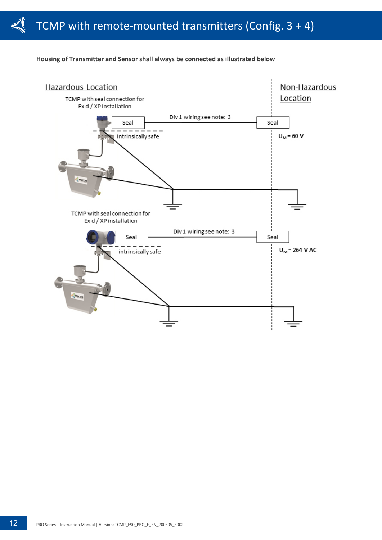![](_page_11_Figure_1.jpeg)

#### **Housing of Transmitter and Sensor shall always be connected as illustrated below**